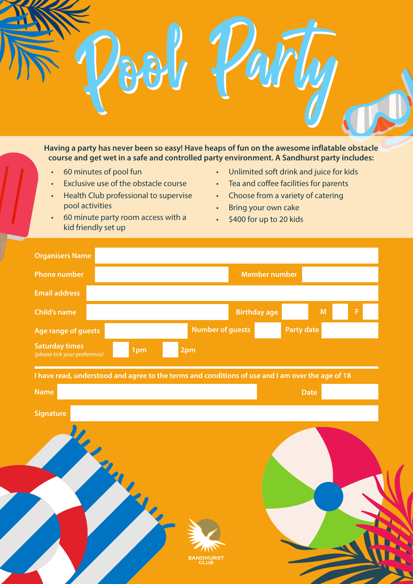

**course and get wet in a safe and controlled party environment. A Sandhurst party includes:** 

- 60 minutes of pool fun
- Exclusive use of the obstacle course
- Health Club professional to supervise pool activities
- 60 minute party room access with a kid friendly set up
- Unlimited soft drink and juice for kids
- Tea and coffee facilities for parents
- Choose from a variety of catering
- Bring your own cake
- \$400 for up to 20 kids

| <b>Organisers Name</b>                                 |                                                                                                  |                         |                      |                   |             |   |
|--------------------------------------------------------|--------------------------------------------------------------------------------------------------|-------------------------|----------------------|-------------------|-------------|---|
| <b>Phone number</b>                                    |                                                                                                  |                         | <b>Member number</b> |                   |             |   |
| <b>Email address</b>                                   |                                                                                                  |                         |                      |                   |             |   |
| <b>Child's name</b>                                    |                                                                                                  |                         | <b>Birthday age</b>  |                   | M           | F |
| Age range of guests                                    |                                                                                                  | <b>Number of guests</b> |                      | <b>Party date</b> |             |   |
| <b>Saturday times</b><br>(please tick your preference) | 1pm                                                                                              | 2pm                     |                      |                   |             |   |
|                                                        | I have read, understood and agree to the terms and conditions of use and I am over the age of 18 |                         |                      |                   |             |   |
| <b>Name</b>                                            |                                                                                                  |                         |                      |                   | <b>Date</b> |   |
| <b>Signature</b>                                       |                                                                                                  |                         |                      |                   |             |   |
|                                                        |                                                                                                  |                         |                      |                   |             |   |
|                                                        |                                                                                                  |                         |                      |                   |             |   |
|                                                        |                                                                                                  |                         |                      |                   |             |   |
|                                                        |                                                                                                  |                         |                      |                   |             |   |
|                                                        |                                                                                                  |                         |                      |                   |             |   |
|                                                        |                                                                                                  |                         |                      |                   |             |   |
|                                                        |                                                                                                  |                         |                      |                   |             |   |
|                                                        |                                                                                                  | SANDHLIRST              |                      |                   |             |   |